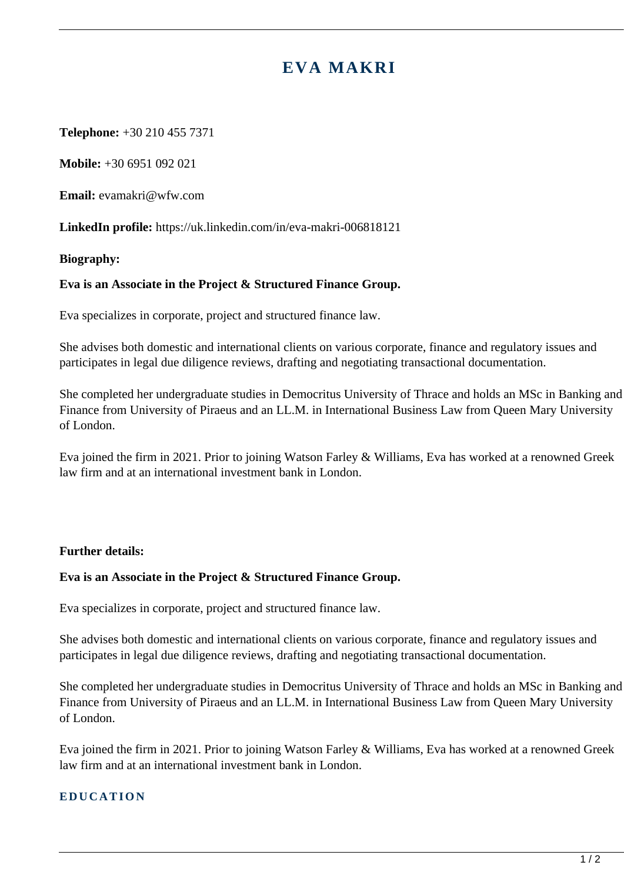# **EVA MAKRI**

**Telephone:** +30 210 455 7371

**Mobile:** +30 6951 092 021

**Email:** evamakri@wfw.com

**LinkedIn profile:** https://uk.linkedin.com/in/eva-makri-006818121

#### **Biography:**

### **Eva is an Associate in the Project & Structured Finance Group.**

Eva specializes in corporate, project and structured finance law.

She advises both domestic and international clients on various corporate, finance and regulatory issues and participates in legal due diligence reviews, drafting and negotiating transactional documentation.

She completed her undergraduate studies in Democritus University of Thrace and holds an MSc in Banking and Finance from University of Piraeus and an LL.M. in International Business Law from Queen Mary University of London.

Eva joined the firm in 2021. Prior to joining Watson Farley & Williams, Eva has worked at a renowned Greek law firm and at an international investment bank in London.

#### **Further details:**

#### **Eva is an Associate in the Project & Structured Finance Group.**

Eva specializes in corporate, project and structured finance law.

She advises both domestic and international clients on various corporate, finance and regulatory issues and participates in legal due diligence reviews, drafting and negotiating transactional documentation.

She completed her undergraduate studies in Democritus University of Thrace and holds an MSc in Banking and Finance from University of Piraeus and an LL.M. in International Business Law from Queen Mary University of London.

Eva joined the firm in 2021. Prior to joining Watson Farley & Williams, Eva has worked at a renowned Greek law firm and at an international investment bank in London.

## **EDUCATION**